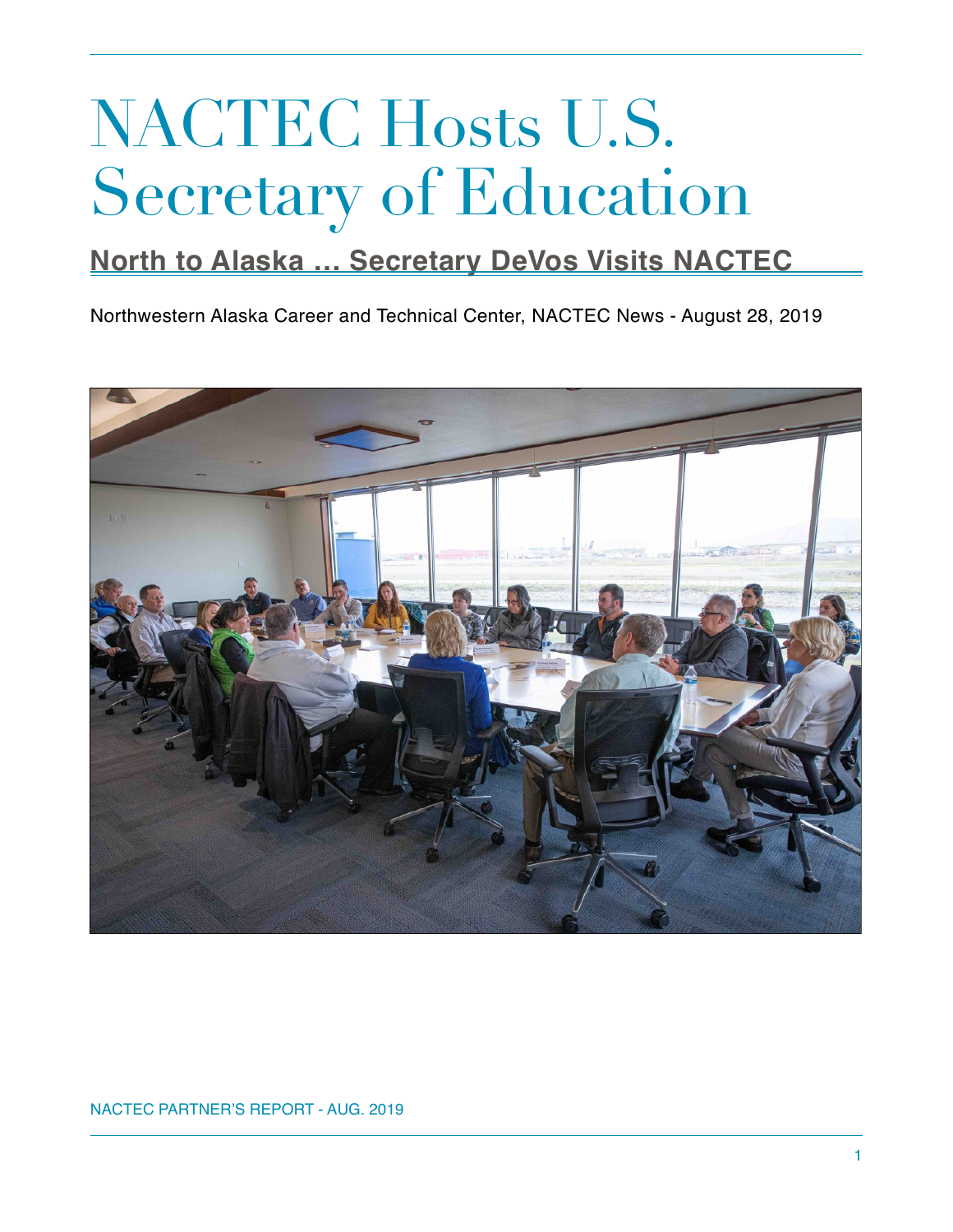## NACTEC Hosts U.S. Secretary of Education

## **North to Alaska … Secretary DeVos Visits NACTEC**

Northwestern Alaska Career and Technical Center, NACTEC News - August 28, 2019



NACTEC PARTNER'S REPORT - AUG. 2019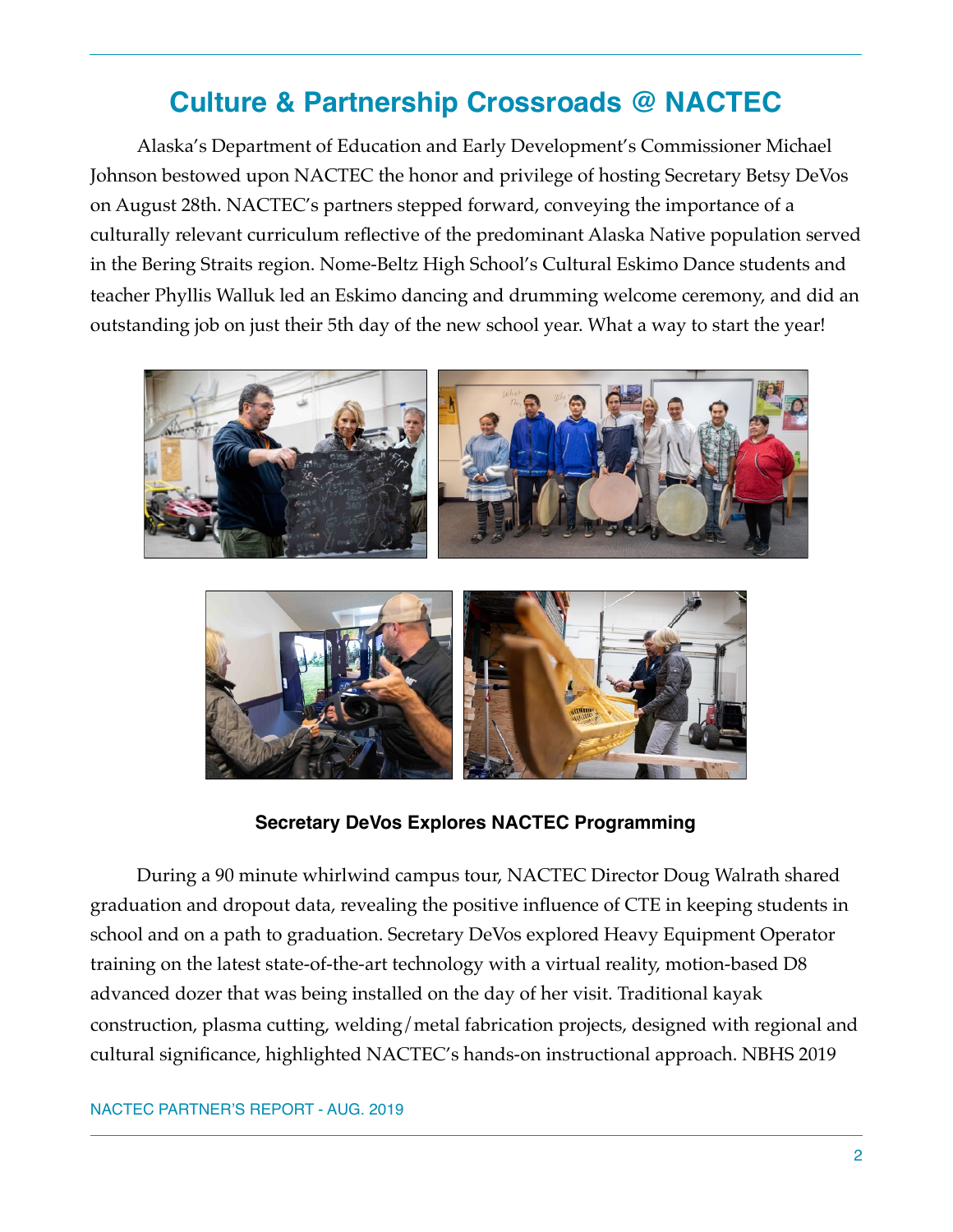## **Culture & Partnership Crossroads @ NACTEC**

Alaska's Department of Education and Early Development's Commissioner Michael Johnson bestowed upon NACTEC the honor and privilege of hosting Secretary Betsy DeVos on August 28th. NACTEC's partners stepped forward, conveying the importance of a culturally relevant curriculum reflective of the predominant Alaska Native population served in the Bering Straits region. Nome-Beltz High School's Cultural Eskimo Dance students and teacher Phyllis Walluk led an Eskimo dancing and drumming welcome ceremony, and did an outstanding job on just their 5th day of the new school year. What a way to start the year!





**Secretary DeVos Explores NACTEC Programming** 

During a 90 minute whirlwind campus tour, NACTEC Director Doug Walrath shared graduation and dropout data, revealing the positive influence of CTE in keeping students in school and on a path to graduation. Secretary DeVos explored Heavy Equipment Operator training on the latest state-of-the-art technology with a virtual reality, motion-based D8 advanced dozer that was being installed on the day of her visit. Traditional kayak construction, plasma cutting, welding/metal fabrication projects, designed with regional and cultural significance, highlighted NACTEC's hands-on instructional approach. NBHS 2019